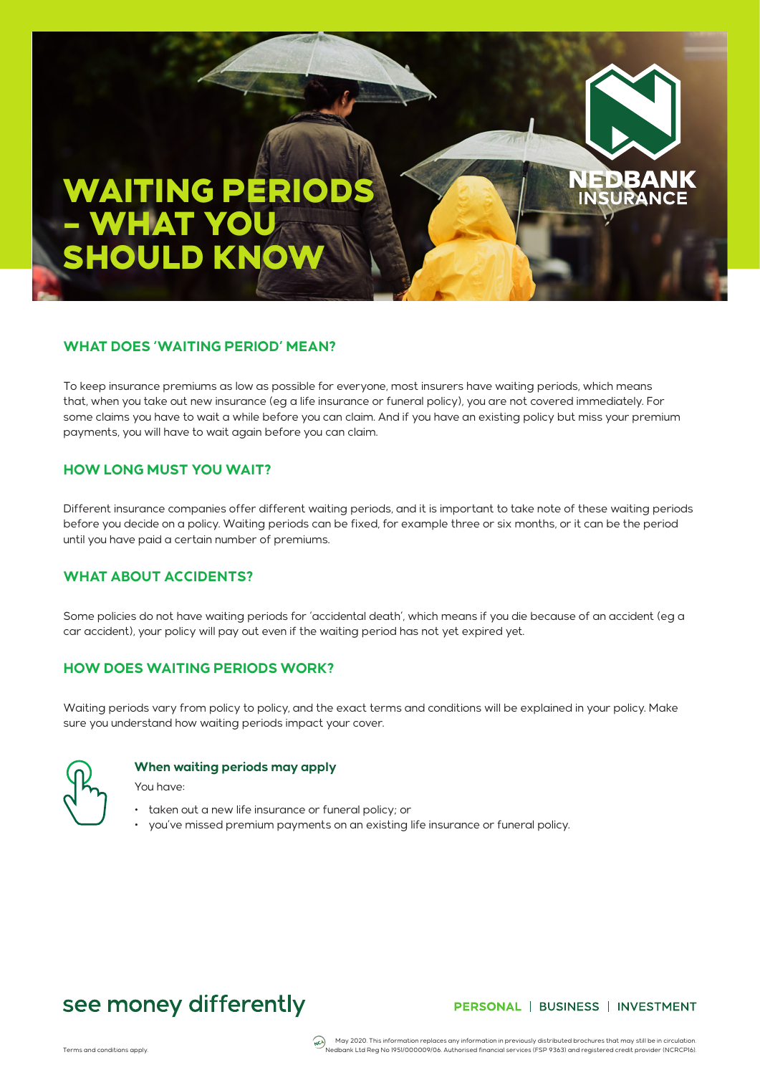# WAITING PERIODS – WHAT YOU SHOULD KNOW

### **WHAT DOES 'WAITING PERIOD' MEAN?**

To keep insurance premiums as low as possible for everyone, most insurers have waiting periods, which means that, when you take out new insurance (eg a life insurance or funeral policy), you are not covered immediately. For some claims you have to wait a while before you can claim. And if you have an existing policy but miss your premium payments, you will have to wait again before you can claim.

#### **HOW LONG MUST YOU WAIT?**

Different insurance companies offer different waiting periods, and it is important to take note of these waiting periods before you decide on a policy. Waiting periods can be fixed, for example three or six months, or it can be the period until you have paid a certain number of premiums.

#### **WHAT ABOUT ACCIDENTS?**

Some policies do not have waiting periods for 'accidental death', which means if you die because of an accident (eg a car accident), your policy will pay out even if the waiting period has not yet expired yet.

### **HOW DOES WAITING PERIODS WORK?**

Waiting periods vary from policy to policy, and the exact terms and conditions will be explained in your policy. Make sure you understand how waiting periods impact your cover.



#### **When waiting periods may apply**

You have:

- taken out a new life insurance or funeral policy; or
- you've missed premium payments on an existing life insurance or funeral policy.

### see money differently

#### PERSONAL | BUSINESS | INVESTMENT

SURA